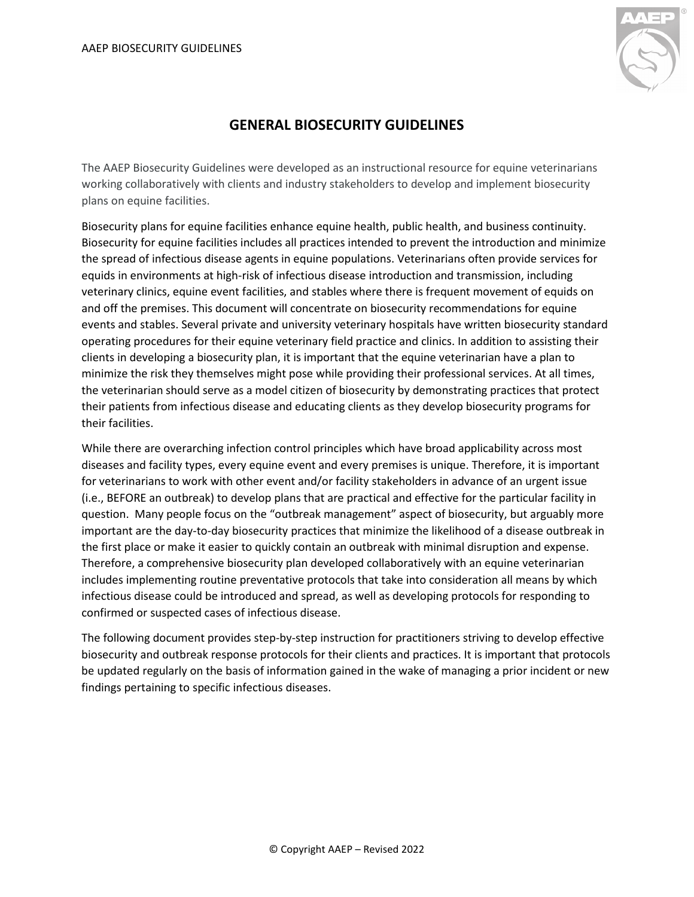

# **GENERAL BIOSECURITY GUIDELINES**

The AAEP Biosecurity Guidelines were developed as an instructional resource for equine veterinarians working collaboratively with clients and industry stakeholders to develop and implement biosecurity plans on equine facilities.

Biosecurity plans for equine facilities enhance equine health, public health, and business continuity. Biosecurity for equine facilities includes all practices intended to prevent the introduction and minimize the spread of infectious disease agents in equine populations. Veterinarians often provide services for equids in environments at high-risk of infectious disease introduction and transmission, including veterinary clinics, equine event facilities, and stables where there is frequent movement of equids on and off the premises. This document will concentrate on biosecurity recommendations for equine events and stables. Several private and university veterinary hospitals have written biosecurity standard operating procedures for their equine veterinary field practice and clinics. In addition to assisting their clients in developing a biosecurity plan, it is important that the equine veterinarian have a plan to minimize the risk they themselves might pose while providing their professional services. At all times, the veterinarian should serve as a model citizen of biosecurity by demonstrating practices that protect their patients from infectious disease and educating clients as they develop biosecurity programs for their facilities.

While there are overarching infection control principles which have broad applicability across most diseases and facility types, every equine event and every premises is unique. Therefore, it is important for veterinarians to work with other event and/or facility stakeholders in advance of an urgent issue (i.e., BEFORE an outbreak) to develop plans that are practical and effective for the particular facility in question. Many people focus on the "outbreak management" aspect of biosecurity, but arguably more important are the day-to-day biosecurity practices that minimize the likelihood of a disease outbreak in the first place or make it easier to quickly contain an outbreak with minimal disruption and expense. Therefore, a comprehensive biosecurity plan developed collaboratively with an equine veterinarian includes implementing routine preventative protocols that take into consideration all means by which infectious disease could be introduced and spread, as well as developing protocols for responding to confirmed or suspected cases of infectious disease.

The following document provides step-by-step instruction for practitioners striving to develop effective biosecurity and outbreak response protocols for their clients and practices. It is important that protocols be updated regularly on the basis of information gained in the wake of managing a prior incident or new findings pertaining to specific infectious diseases.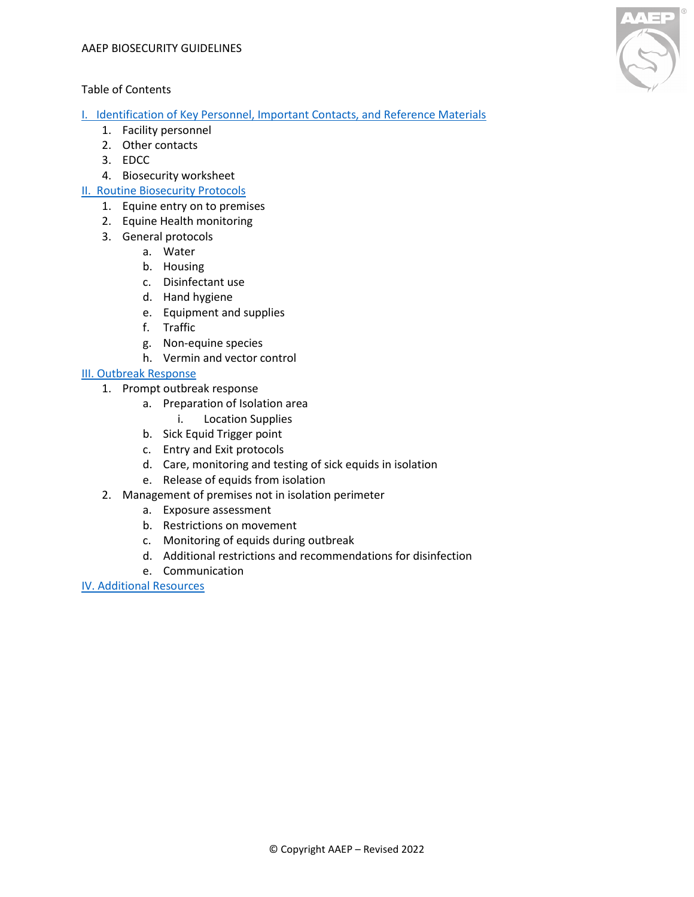### Table of Contents

[I. Identification of Key Personnel, Important Contacts, and Reference Materials](#page-2-0)

- 1. Facility personnel
- 2. Other contacts
- 3. EDCC
- 4. Biosecurity workshee[t](#page-2-0)

### [II. Routine Biosecurity Protocols](#page-2-1)

- 1. Equine entry on to premises
- 2. Equine Health monitoring
- 3. General protocols
	- a. Water
	- b. Housing
	- c. Disinfectant use
	- d. Hand hygiene
	- e. Equipment and supplies
	- f. Traffic
	- g. Non-equine species
	- h. Vermin and vector control

### [III. Outbreak Response](#page-8-0)

- 1. Prompt outbreak response
	- a. Preparation of Isolation area
		- i. Location Supplies
	- b. Sick Equid Trigger point
	- c. Entry and Exit protocols
	- d. Care, monitoring and testing of sick equids in isolation
	- e. Release of equids from isolation
- 2. Management of premises not in isolation perimeter
	- a. Exposure assessment
	- b. Restrictions on movement
	- c. Monitoring of equids during outbreak
	- d. Additional restrictions and recommendations for disinfection
	- e. Communication

[IV. Additional Resources](#page-16-0)

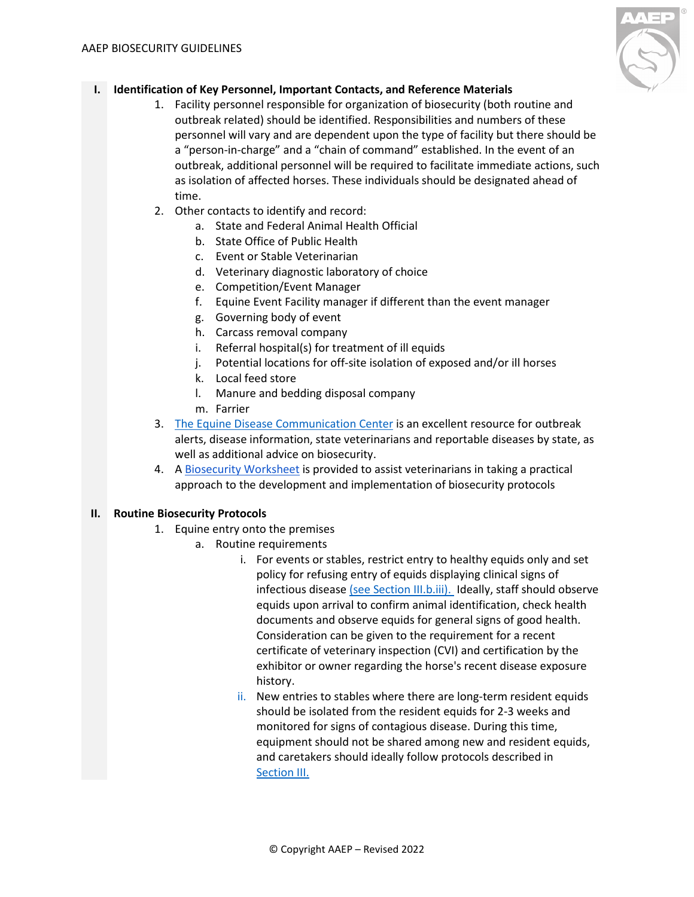

## <span id="page-2-0"></span>**I. Identification of Key Personnel, Important Contacts, and Reference Materials**

- 1. Facility personnel responsible for organization of biosecurity (both routine and outbreak related) should be identified. Responsibilities and numbers of these personnel will vary and are dependent upon the type of facility but there should be a "person-in-charge" and a "chain of command" established. In the event of an outbreak, additional personnel will be required to facilitate immediate actions, such as isolation of affected horses. These individuals should be designated ahead of time.
- 2. Other contacts to identify and record:
	- a. State and Federal Animal Health Official
	- b. State Office of Public Health
	- c. Event or Stable Veterinarian
	- d. Veterinary diagnostic laboratory of choice
	- e. Competition/Event Manager
	- f. Equine Event Facility manager if different than the event manager
	- g. Governing body of event
	- h. Carcass removal company
	- i. Referral hospital(s) for treatment of ill equids
	- j. Potential locations for off-site isolation of exposed and/or ill horses
	- k. Local feed store
	- l. Manure and bedding disposal company
	- m. Farrier
- 3. [The Equine Disease Communication Center](http://www.equinediseasecc.org/) is an excellent resource for outbreak alerts, disease information, state veterinarians and reportable diseases by state, as well as additional advice on biosecurity.
- 4. A [Biosecurity Worksheet](https://aaep.org/sites/default/files/Documents/BiosecurityWorksheetForm.pdf) is provided to assist veterinarians in taking a practical approach to the development and implementation of biosecurity protocols

### <span id="page-2-1"></span>**II. Routine Biosecurity Protocols**

- 1. Equine entry onto the premises
	- a. Routine requirements
		- i. For events or stables, restrict entry to healthy equids only and set policy for refusing entry of equids displaying clinical signs of infectious disease [\(see Section III.b.iii\).](#page-9-0) Ideally, staff should observe equids upon arrival to confirm animal identification, check health documents and observe equids for general signs of good health. Consideration can be given to the requirement for a recent certificate of veterinary inspection (CVI) and certification by the exhibitor or owner regarding the horse's recent disease exposure history.
		- ii. New entries to stables where there are long-term resident equids should be isolated from the resident equids for 2-3 weeks and monitored for signs of contagious disease. During this time, equipment should not be shared among new and resident equids, and caretakers should ideally follow protocols described in [Section III.](#page-8-0)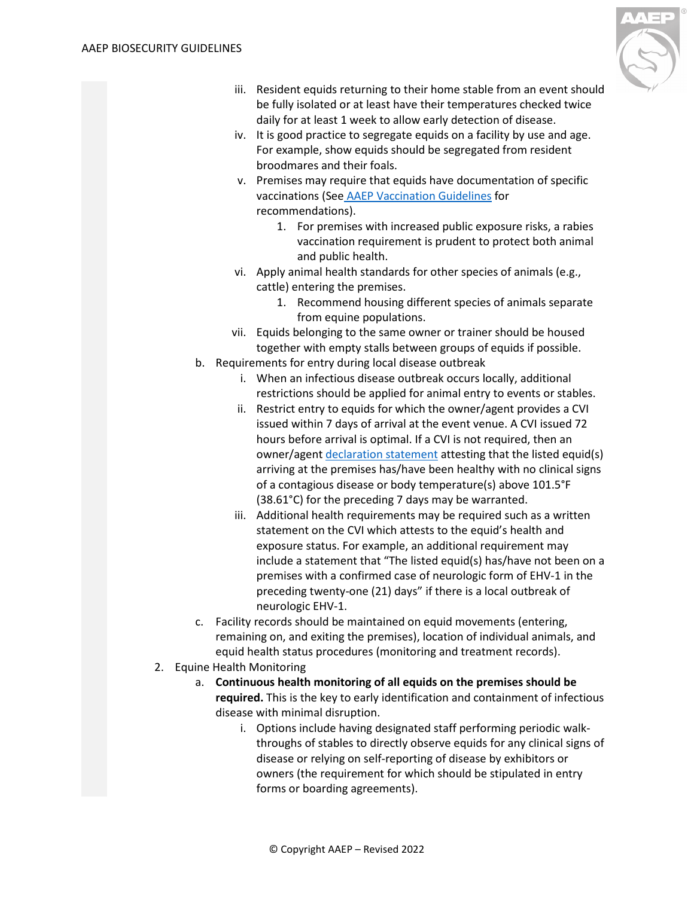

- iii. Resident equids returning to their home stable from an event should be fully isolated or at least have their temperatures checked twice daily for at least 1 week to allow early detection of disease.
- iv. It is good practice to segregate equids on a facility by use and age. For example, show equids should be segregated from resident broodmares and their foals.
- v. Premises may require that equids have documentation of specific vaccinations (See [AAEP Vaccination Guidelines](https://aaep.org/guidelines/vaccination-guidelines) for recommendations).
	- 1. For premises with increased public exposure risks, a rabies vaccination requirement is prudent to protect both animal and public health.
- vi. Apply animal health standards for other species of animals (e.g., cattle) entering the premises.
	- 1. Recommend housing different species of animals separate from equine populations.
- vii. Equids belonging to the same owner or trainer should be housed together with empty stalls between groups of equids if possible.
- b. Requirements for entry during local disease outbreak
	- i. When an infectious disease outbreak occurs locally, additional restrictions should be applied for animal entry to events or stables.
	- ii. Restrict entry to equids for which the owner/agent provides a CVI issued within 7 days of arrival at the event venue. A CVI issued 72 hours before arrival is optimal. If a CVI is not required, then an owner/agent [declaration statement](https://www.cdfa.ca.gov/ahfss/Animal_Health/pdfs/F.pdf) attesting that the listed equid(s) arriving at the premises has/have been healthy with no clinical signs of a contagious disease or body temperature(s) above 101.5°F (38.61°C) for the preceding 7 days may be warranted.
	- iii. Additional health requirements may be required such as a written statement on the CVI which attests to the equid's health and exposure status. For example, an additional requirement may include a statement that "The listed equid(s) has/have not been on a premises with a confirmed case of neurologic form of EHV-1 in the preceding twenty-one (21) days" if there is a local outbreak of neurologic EHV-1.
- c. Facility records should be maintained on equid movements (entering, remaining on, and exiting the premises), location of individual animals, and equid health status procedures (monitoring and treatment records).
- 2. Equine Health Monitoring
	- a. **Continuous health monitoring of all equids on the premises should be required.** This is the key to early identification and containment of infectious disease with minimal disruption.
		- i. Options include having designated staff performing periodic walkthroughs of stables to directly observe equids for any clinical signs of disease or relying on self-reporting of disease by exhibitors or owners (the requirement for which should be stipulated in entry forms or boarding agreements).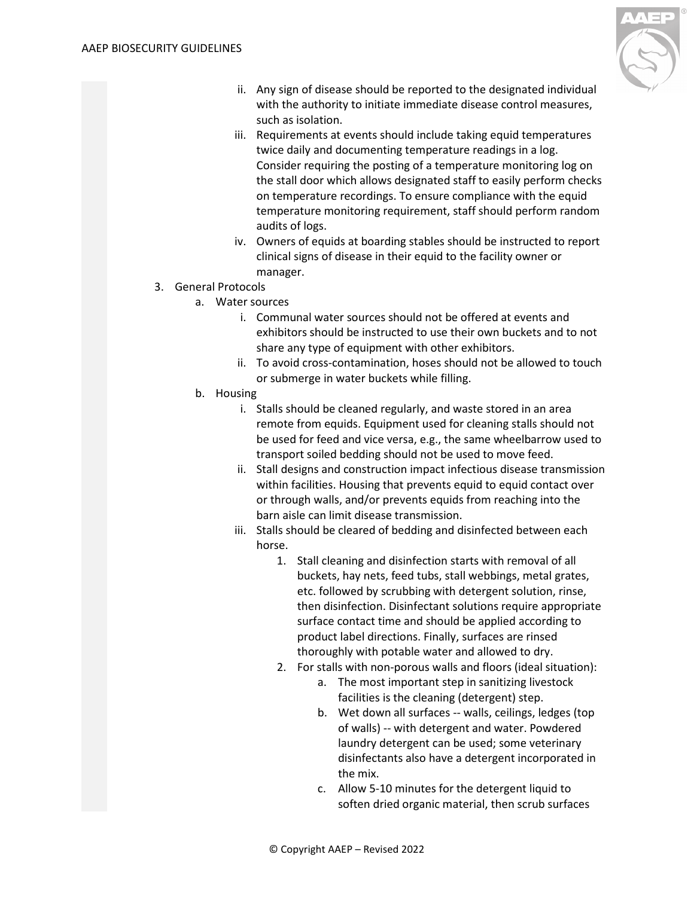

- ii. Any sign of disease should be reported to the designated individual with the authority to initiate immediate disease control measures, such as isolation.
- iii. Requirements at events should include taking equid temperatures twice daily and documenting temperature readings in a log. Consider requiring the posting of a temperature monitoring log on the stall door which allows designated staff to easily perform checks on temperature recordings. To ensure compliance with the equid temperature monitoring requirement, staff should perform random audits of logs.
- iv. Owners of equids at boarding stables should be instructed to report clinical signs of disease in their equid to the facility owner or manager.
- 3. General Protocols
	- a. Water sources
		- i. Communal water sources should not be offered at events and exhibitors should be instructed to use their own buckets and to not share any type of equipment with other exhibitors.
		- ii. To avoid cross-contamination, hoses should not be allowed to touch or submerge in water buckets while filling.
	- b. Housing
		- i. Stalls should be cleaned regularly, and waste stored in an area remote from equids. Equipment used for cleaning stalls should not be used for feed and vice versa, e.g., the same wheelbarrow used to transport soiled bedding should not be used to move feed.
		- ii. Stall designs and construction impact infectious disease transmission within facilities. Housing that prevents equid to equid contact over or through walls, and/or prevents equids from reaching into the barn aisle can limit disease transmission.
		- iii. Stalls should be cleared of bedding and disinfected between each horse.
			- 1. Stall cleaning and disinfection starts with removal of all buckets, hay nets, feed tubs, stall webbings, metal grates, etc. followed by scrubbing with detergent solution, rinse, then disinfection. Disinfectant solutions require appropriate surface contact time and should be applied according to product label directions. Finally, surfaces are rinsed thoroughly with potable water and allowed to dry.
			- 2. For stalls with non-porous walls and floors (ideal situation):
				- a. The most important step in sanitizing livestock facilities is the cleaning (detergent) step.
				- b. Wet down all surfaces -- walls, ceilings, ledges (top of walls) -- with detergent and water. Powdered laundry detergent can be used; some veterinary disinfectants also have a detergent incorporated in the mix.
				- c. Allow 5-10 minutes for the detergent liquid to soften dried organic material, then scrub surfaces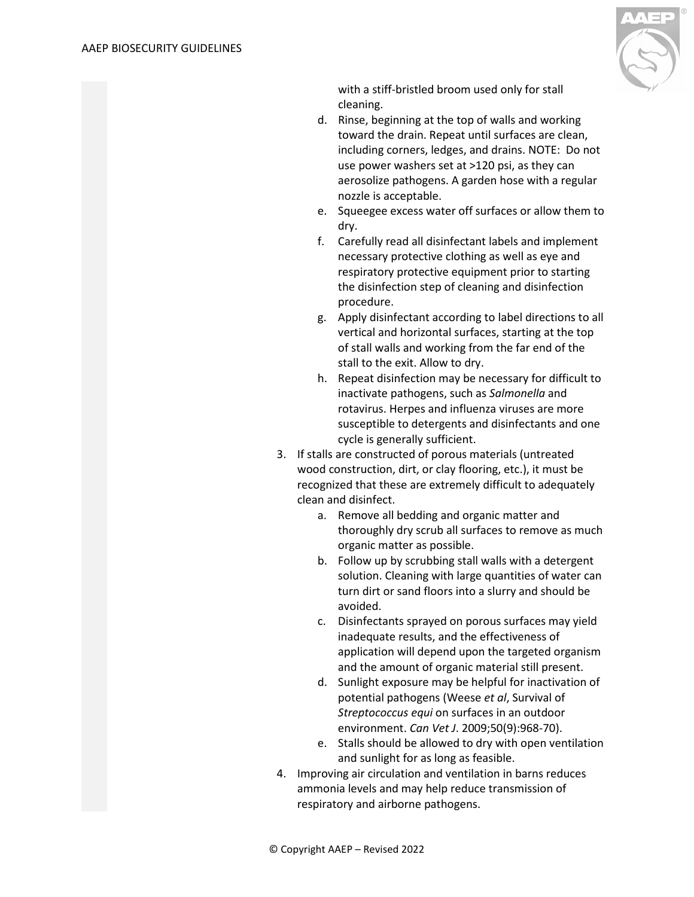

with a stiff-bristled broom used only for stall cleaning.

- d. Rinse, beginning at the top of walls and working toward the drain. Repeat until surfaces are clean, including corners, ledges, and drains. NOTE: Do not use power washers set at >120 psi, as they can aerosolize pathogens. A garden hose with a regular nozzle is acceptable.
- e. Squeegee excess water off surfaces or allow them to dry.
- f. Carefully read all disinfectant labels and implement necessary protective clothing as well as eye and respiratory protective equipment prior to starting the disinfection step of cleaning and disinfection procedure.
- g. Apply disinfectant according to label directions to all vertical and horizontal surfaces, starting at the top of stall walls and working from the far end of the stall to the exit. Allow to dry.
- h. Repeat disinfection may be necessary for difficult to inactivate pathogens, such as *Salmonella* and rotavirus. Herpes and influenza viruses are more susceptible to detergents and disinfectants and one cycle is generally sufficient.
- 3. If stalls are constructed of porous materials (untreated wood construction, dirt, or clay flooring, etc.), it must be recognized that these are extremely difficult to adequately clean and disinfect.
	- a. Remove all bedding and organic matter and thoroughly dry scrub all surfaces to remove as much organic matter as possible.
	- b. Follow up by scrubbing stall walls with a detergent solution. Cleaning with large quantities of water can turn dirt or sand floors into a slurry and should be avoided.
	- c. Disinfectants sprayed on porous surfaces may yield inadequate results, and the effectiveness of application will depend upon the targeted organism and the amount of organic material still present.
	- d. Sunlight exposure may be helpful for inactivation of potential pathogens (Weese *et al*, Survival of *Streptococcus equi* on surfaces in an outdoor environment. *Can Vet J*. 2009;50(9):968-70).
	- e. Stalls should be allowed to dry with open ventilation and sunlight for as long as feasible.
- 4. Improving air circulation and ventilation in barns reduces ammonia levels and may help reduce transmission of respiratory and airborne pathogens.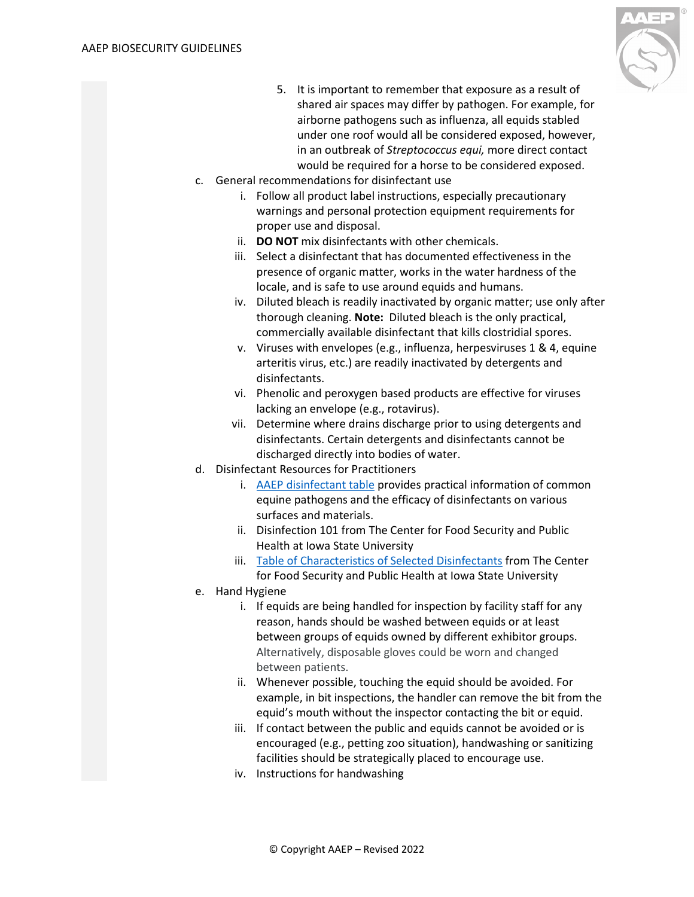

- 5. It is important to remember that exposure as a result of shared air spaces may differ by pathogen. For example, for airborne pathogens such as influenza, all equids stabled under one roof would all be considered exposed, however, in an outbreak of *Streptococcus equi,* more direct contact would be required for a horse to be considered exposed.
- c. General recommendations for disinfectant use
	- i. Follow all product label instructions, especially precautionary warnings and personal protection equipment requirements for proper use and disposal.
	- ii. **DO NOT** mix disinfectants with other chemicals.
	- iii. Select a disinfectant that has documented effectiveness in the presence of organic matter, works in the water hardness of the locale, and is safe to use around equids and humans.
	- iv. Diluted bleach is readily inactivated by organic matter; use only after thorough cleaning. **Note:** Diluted bleach is the only practical, commercially available disinfectant that kills clostridial spores.
	- v. Viruses with envelopes (e.g., influenza, herpesviruses 1 & 4, equine arteritis virus, etc.) are readily inactivated by detergents and disinfectants.
	- vi. Phenolic and peroxygen based products are effective for viruses lacking an envelope (e.g., rotavirus).
	- vii. Determine where drains discharge prior to using detergents and disinfectants. Certain detergents and disinfectants cannot be discharged directly into bodies of water.
- d. Disinfectant Resources for Practitioners
	- i. [AAEP disinfectant table](https://aaep.org/sites/default/files/Documents/Outside%20Linked%20Documents/DisinfectantTable.pdf) provides practical information of common equine pathogens and the efficacy of disinfectants on various surfaces and materials.
	- ii. Disinfection 101 from The Center for Food Security and Public Health at Iowa State University
	- iii. [Table of Characteristics of Selected Disinfectants](http://www.cfsph.iastate.edu/Disinfection/Assets/CharacteristicsSelectedDisinfectants.pdf) from The Center for Food Security and Public Health at Iowa State University
- e. Hand Hygiene
	- i. If equids are being handled for inspection by facility staff for any reason, hands should be washed between equids or at least between groups of equids owned by different exhibitor groups. Alternatively, disposable gloves could be worn and changed between patients.
	- ii. Whenever possible, touching the equid should be avoided. For example, in bit inspections, the handler can remove the bit from the equid's mouth without the inspector contacting the bit or equid.
	- iii. If contact between the public and equids cannot be avoided or is encouraged (e.g., petting zoo situation), handwashing or sanitizing facilities should be strategically placed to encourage use.
	- iv. Instructions for handwashing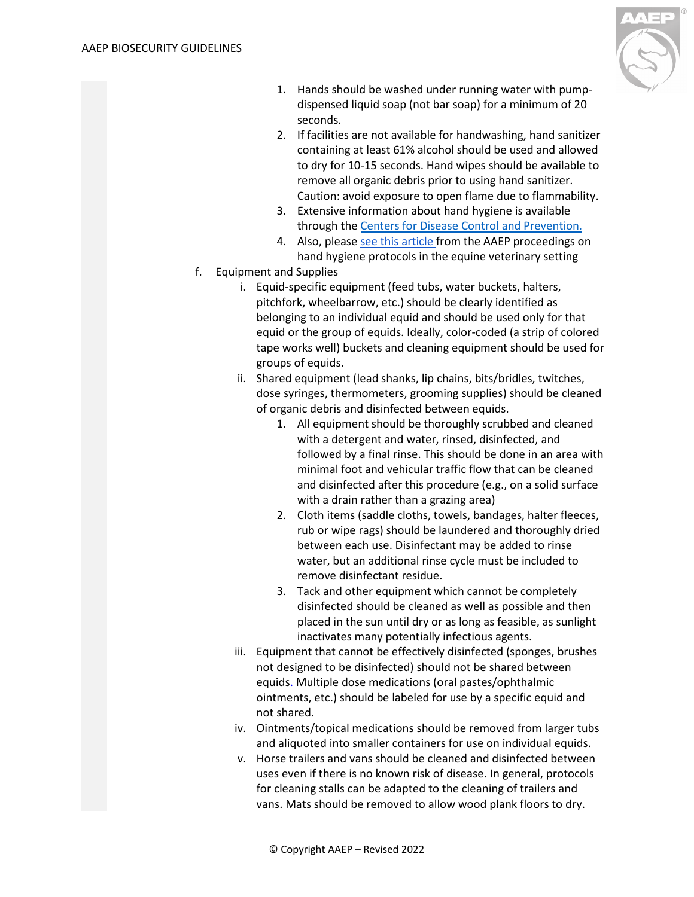

- 1. Hands should be washed under running water with pumpdispensed liquid soap (not bar soap) for a minimum of 20 seconds.
- 2. If facilities are not available for handwashing, hand sanitizer containing at least 61% alcohol should be used and allowed to dry for 10-15 seconds. Hand wipes should be available to remove all organic debris prior to using hand sanitizer. Caution: avoid exposure to open flame due to flammability.
- 3. Extensive information about hand hygiene is available through the [Centers for Disease Control and Prevention.](https://www.cdc.gov/handwashing/)
- 4. Also, please [see this article f](https://aaep.org/sites/default/files/Documents/Outside%20Linked%20Documents/Traub-Dargatz%202004.pdf)rom the AAEP proceedings on hand hygiene protocols in the equine veterinary setting
- f. Equipment and Supplies
	- i. Equid-specific equipment (feed tubs, water buckets, halters, pitchfork, wheelbarrow, etc.) should be clearly identified as belonging to an individual equid and should be used only for that equid or the group of equids. Ideally, color-coded (a strip of colored tape works well) buckets and cleaning equipment should be used for groups of equids.
	- ii. Shared equipment (lead shanks, lip chains, bits/bridles, twitches, dose syringes, thermometers, grooming supplies) should be cleaned of organic debris and disinfected between equids.
		- 1. All equipment should be thoroughly scrubbed and cleaned with a detergent and water, rinsed, disinfected, and followed by a final rinse. This should be done in an area with minimal foot and vehicular traffic flow that can be cleaned and disinfected after this procedure (e.g., on a solid surface with a drain rather than a grazing area)
		- 2. Cloth items (saddle cloths, towels, bandages, halter fleeces, rub or wipe rags) should be laundered and thoroughly dried between each use. Disinfectant may be added to rinse water, but an additional rinse cycle must be included to remove disinfectant residue.
		- 3. Tack and other equipment which cannot be completely disinfected should be cleaned as well as possible and then placed in the sun until dry or as long as feasible, as sunlight inactivates many potentially infectious agents.
	- iii. Equipment that cannot be effectively disinfected (sponges, brushes not designed to be disinfected) should not be shared between equids. Multiple dose medications (oral pastes/ophthalmic ointments, etc.) should be labeled for use by a specific equid and not shared.
	- iv. Ointments/topical medications should be removed from larger tubs and aliquoted into smaller containers for use on individual equids.
	- v. Horse trailers and vans should be cleaned and disinfected between uses even if there is no known risk of disease. In general, protocols for cleaning stalls can be adapted to the cleaning of trailers and vans. Mats should be removed to allow wood plank floors to dry.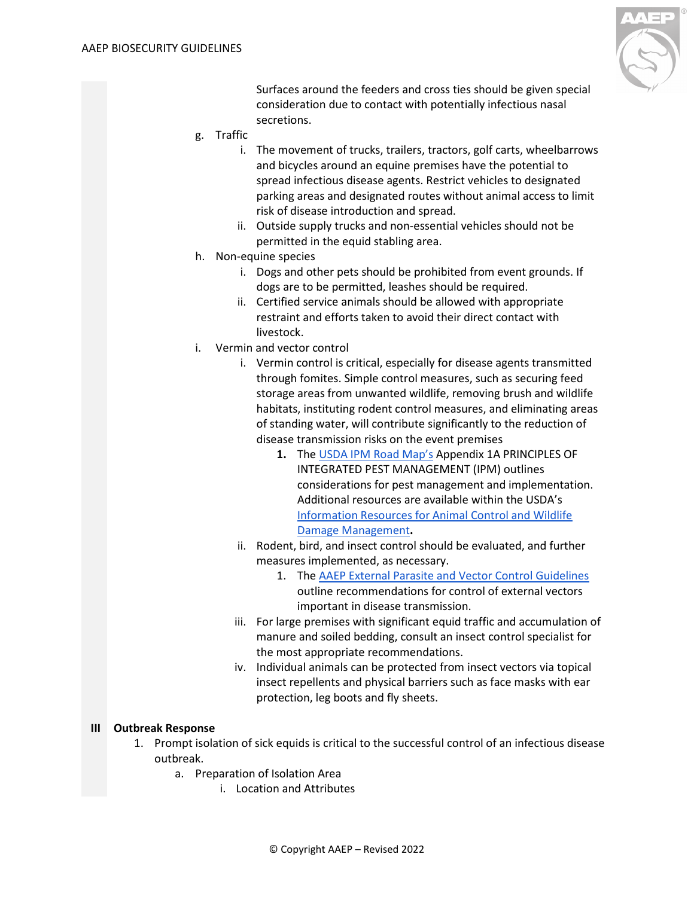

Surfaces around the feeders and cross ties should be given special consideration due to contact with potentially infectious nasal secretions.

- g. Traffic
	- i. The movement of trucks, trailers, tractors, golf carts, wheelbarrows and bicycles around an equine premises have the potential to spread infectious disease agents. Restrict vehicles to designated parking areas and designated routes without animal access to limit risk of disease introduction and spread.
	- ii. Outside supply trucks and non-essential vehicles should not be permitted in the equid stabling area.
- h. Non-equine species
	- i. Dogs and other pets should be prohibited from event grounds. If dogs are to be permitted, leashes should be required.
	- ii. Certified service animals should be allowed with appropriate restraint and efforts taken to avoid their direct contact with livestock.
- i. Vermin and vector control
	- i. Vermin control is critical, especially for disease agents transmitted through fomites. Simple control measures, such as securing feed storage areas from unwanted wildlife, removing brush and wildlife habitats, instituting rodent control measures, and eliminating areas of standing water, will contribute significantly to the reduction of disease transmission risks on the event premises
		- **1.** The [USDA IPM Road Map'](https://www.usda.gov/sites/default/files/documents/IPM-Road-Map-FINAL.pdf)s Appendix 1A PRINCIPLES OF INTEGRATED PEST MANAGEMENT (IPM) outlines considerations for pest management and implementation. Additional resources are available within the USDA's [Information Resources for Animal Control and Wildlife](https://www.aphis.usda.gov/wildlife_damage/reports/Wildlife%20Damage%20Management%20Technical%20Series/Information%20Resources%20for%20Wildlife%20Damage%20Management_WDM%20Technical%20Series.pdf)  [Damage Management](https://www.aphis.usda.gov/wildlife_damage/reports/Wildlife%20Damage%20Management%20Technical%20Series/Information%20Resources%20for%20Wildlife%20Damage%20Management_WDM%20Technical%20Series.pdf)**.**
	- ii. Rodent, bird, and insect control should be evaluated, and further measures implemented, as necessary.
		- 1. The [AAEP External Parasite and Vector Control Guidelines](https://www.google.com/url?q=https://aaep.org/guidelines/external-parasite-and-vector-control-guidelines&sa=D&source=editors&ust=1622297447186000&usg=AOvVaw0ggoN-FPBMa7HWdmS4n4EX) outline recommendations for control of external vectors important in disease transmission.
	- iii. For large premises with significant equid traffic and accumulation of manure and soiled bedding, consult an insect control specialist for the most appropriate recommendations.
	- iv. Individual animals can be protected from insect vectors via topical insect repellents and physical barriers such as face masks with ear protection, leg boots and fly sheets.

#### <span id="page-8-0"></span>**III Outbreak Response**

- 1. Prompt isolation of sick equids is critical to the successful control of an infectious disease outbreak.
	- a. Preparation of Isolation Area
		- i. Location and Attributes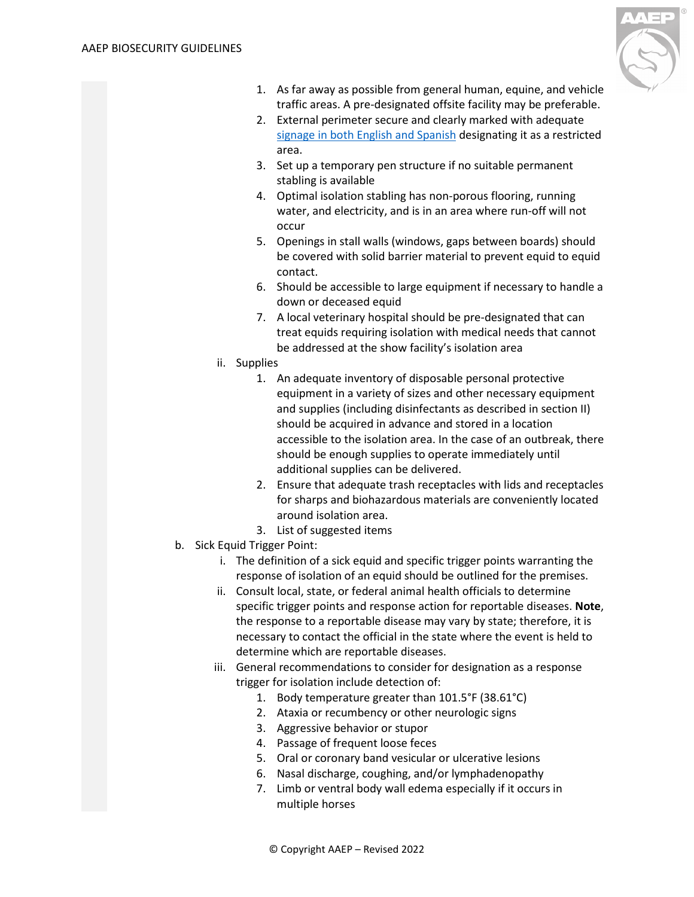

- 1. As far away as possible from general human, equine, and vehicle traffic areas. A pre-designated offsite facility may be preferable.
- 2. External perimeter secure and clearly marked with adequate [signage in both English and Spanish](https://aaep.org/sites/default/files/Documents/Outside%20Linked%20Documents/signs%20(1).pdf) designating it as a restricted area.
- 3. Set up a temporary pen structure if no suitable permanent stabling is available
- 4. Optimal isolation stabling has non-porous flooring, running water, and electricity, and is in an area where run-off will not occur
- 5. Openings in stall walls (windows, gaps between boards) should be covered with solid barrier material to prevent equid to equid contact.
- 6. Should be accessible to large equipment if necessary to handle a down or deceased equid
- 7. A local veterinary hospital should be pre-designated that can treat equids requiring isolation with medical needs that cannot be addressed at the show facility's isolation area
- ii. Supplies
	- 1. An adequate inventory of disposable personal protective equipment in a variety of sizes and other necessary equipment and supplies (including disinfectants as described in section II) should be acquired in advance and stored in a location accessible to the isolation area. In the case of an outbreak, there should be enough supplies to operate immediately until additional supplies can be delivered.
	- 2. Ensure that adequate trash receptacles with lids and receptacles for sharps and biohazardous materials are conveniently located around isolation area.
	- 3. List of suggested items
- <span id="page-9-0"></span>b. Sick Equid Trigger Point:
	- i. The definition of a sick equid and specific trigger points warranting the response of isolation of an equid should be outlined for the premises.
	- ii. Consult local, state, or federal animal health officials to determine specific trigger points and response action for reportable diseases. **Note**, the response to a reportable disease may vary by state; therefore, it is necessary to contact the official in the state where the event is held to determine which are reportable diseases.
	- iii. General recommendations to consider for designation as a response trigger for isolation include detection of:
		- 1. Body temperature greater than 101.5°F (38.61°C)
		- 2. Ataxia or recumbency or other neurologic signs
		- 3. Aggressive behavior or stupor
		- 4. Passage of frequent loose feces
		- 5. Oral or coronary band vesicular or ulcerative lesions
		- 6. Nasal discharge, coughing, and/or lymphadenopathy
		- 7. Limb or ventral body wall edema especially if it occurs in multiple horses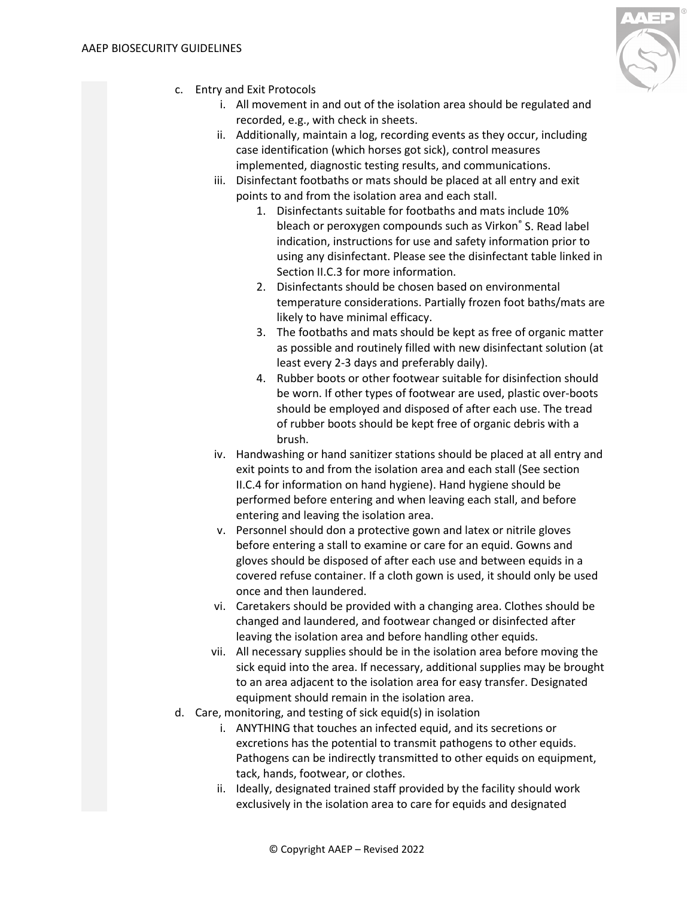

- c. Entry and Exit Protocols
	- i. All movement in and out of the isolation area should be regulated and recorded, e.g., with check in sheets.
	- ii. Additionally, maintain a log, recording events as they occur, including case identification (which horses got sick), control measures implemented, diagnostic testing results, and communications.
	- iii. Disinfectant footbaths or mats should be placed at all entry and exit points to and from the isolation area and each stall.
		- 1. Disinfectants suitable for footbaths and mats include 10% bleach or peroxygen compounds such as Virkon® S. Read label indication, instructions for use and safety information prior to using any disinfectant. Please see the disinfectant table linked in Section II.C.3 for more information.
		- 2. Disinfectants should be chosen based on environmental temperature considerations. Partially frozen foot baths/mats are likely to have minimal efficacy.
		- 3. The footbaths and mats should be kept as free of organic matter as possible and routinely filled with new disinfectant solution (at least every 2-3 days and preferably daily).
		- 4. Rubber boots or other footwear suitable for disinfection should be worn. If other types of footwear are used, plastic over-boots should be employed and disposed of after each use. The tread of rubber boots should be kept free of organic debris with a brush.
	- iv. Handwashing or hand sanitizer stations should be placed at all entry and exit points to and from the isolation area and each stall (See section II.C.4 for information on hand hygiene). Hand hygiene should be performed before entering and when leaving each stall, and before entering and leaving the isolation area.
	- v. Personnel should don a protective gown and latex or nitrile gloves before entering a stall to examine or care for an equid. Gowns and gloves should be disposed of after each use and between equids in a covered refuse container. If a cloth gown is used, it should only be used once and then laundered.
	- vi. Caretakers should be provided with a changing area. Clothes should be changed and laundered, and footwear changed or disinfected after leaving the isolation area and before handling other equids.
	- vii. All necessary supplies should be in the isolation area before moving the sick equid into the area. If necessary, additional supplies may be brought to an area adjacent to the isolation area for easy transfer. Designated equipment should remain in the isolation area.
- d. Care, monitoring, and testing of sick equid(s) in isolation
	- i. ANYTHING that touches an infected equid, and its secretions or excretions has the potential to transmit pathogens to other equids. Pathogens can be indirectly transmitted to other equids on equipment, tack, hands, footwear, or clothes.
	- ii. Ideally, designated trained staff provided by the facility should work exclusively in the isolation area to care for equids and designated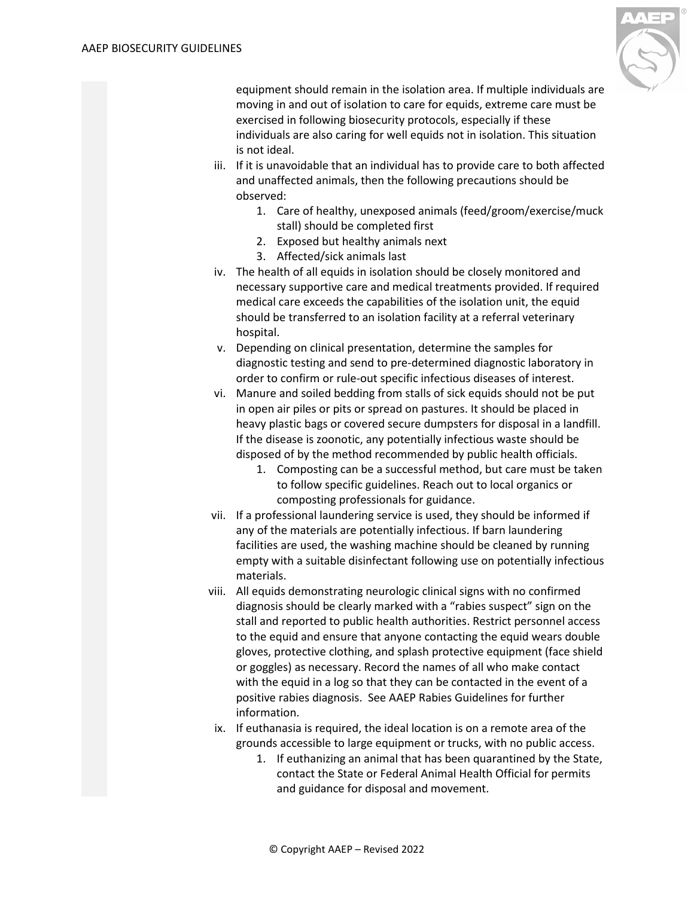

equipment should remain in the isolation area. If multiple individuals are moving in and out of isolation to care for equids, extreme care must be exercised in following biosecurity protocols, especially if these individuals are also caring for well equids not in isolation. This situation is not ideal.

- iii. If it is unavoidable that an individual has to provide care to both affected and unaffected animals, then the following precautions should be observed:
	- 1. Care of healthy, unexposed animals (feed/groom/exercise/muck stall) should be completed first
	- 2. Exposed but healthy animals next
	- 3. Affected/sick animals last
- iv. The health of all equids in isolation should be closely monitored and necessary supportive care and medical treatments provided. If required medical care exceeds the capabilities of the isolation unit, the equid should be transferred to an isolation facility at a referral veterinary hospital.
- v. Depending on clinical presentation, determine the samples for diagnostic testing and send to pre-determined diagnostic laboratory in order to confirm or rule-out specific infectious diseases of interest.
- vi. Manure and soiled bedding from stalls of sick equids should not be put in open air piles or pits or spread on pastures. It should be placed in heavy plastic bags or covered secure dumpsters for disposal in a landfill. If the disease is zoonotic, any potentially infectious waste should be disposed of by the method recommended by public health officials.
	- 1. Composting can be a successful method, but care must be taken to follow specific guidelines. Reach out to local organics or composting professionals for guidance.
- vii. If a professional laundering service is used, they should be informed if any of the materials are potentially infectious. If barn laundering facilities are used, the washing machine should be cleaned by running empty with a suitable disinfectant following use on potentially infectious materials.
- viii. All equids demonstrating neurologic clinical signs with no confirmed diagnosis should be clearly marked with a "rabies suspect" sign on the stall and reported to public health authorities. Restrict personnel access to the equid and ensure that anyone contacting the equid wears double gloves, protective clothing, and splash protective equipment (face shield or goggles) as necessary. Record the names of all who make contact with the equid in a log so that they can be contacted in the event of a positive rabies diagnosis. See AAEP Rabies Guidelines for further information.
- ix. If euthanasia is required, the ideal location is on a remote area of the grounds accessible to large equipment or trucks, with no public access.
	- 1. If euthanizing an animal that has been quarantined by the State, contact the State or Federal Animal Health Official for permits and guidance for disposal and movement.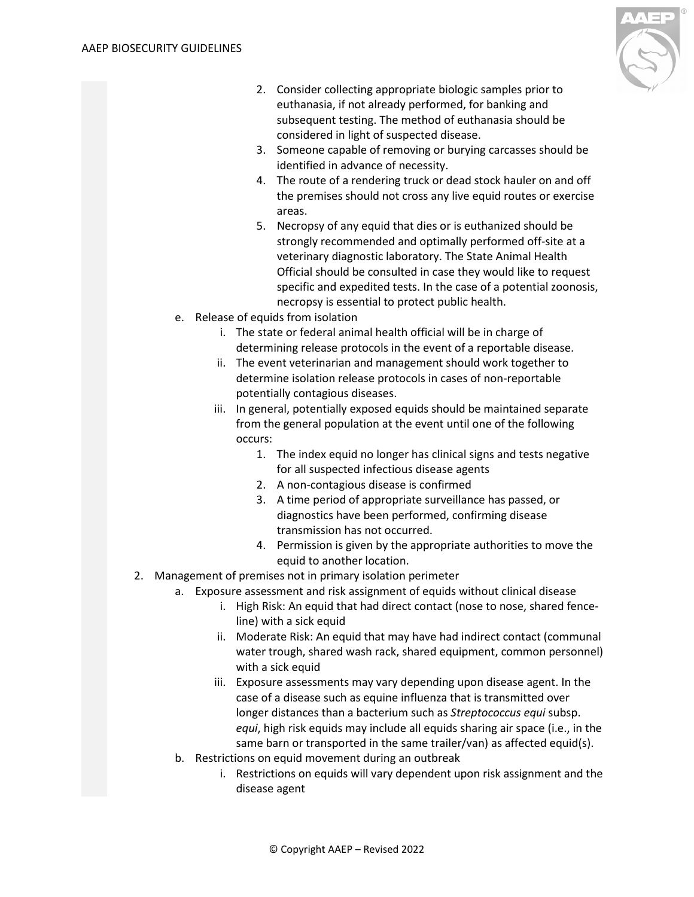

- 2. Consider collecting appropriate biologic samples prior to euthanasia, if not already performed, for banking and subsequent testing. The method of euthanasia should be considered in light of suspected disease.
- 3. Someone capable of removing or burying carcasses should be identified in advance of necessity.
- 4. The route of a rendering truck or dead stock hauler on and off the premises should not cross any live equid routes or exercise areas.
- 5. Necropsy of any equid that dies or is euthanized should be strongly recommended and optimally performed off-site at a veterinary diagnostic laboratory. The State Animal Health Official should be consulted in case they would like to request specific and expedited tests. In the case of a potential zoonosis, necropsy is essential to protect public health.
- e. Release of equids from isolation
	- i. The state or federal animal health official will be in charge of determining release protocols in the event of a reportable disease.
	- ii. The event veterinarian and management should work together to determine isolation release protocols in cases of non-reportable potentially contagious diseases.
	- iii. In general, potentially exposed equids should be maintained separate from the general population at the event until one of the following occurs:
		- 1. The index equid no longer has clinical signs and tests negative for all suspected infectious disease agents
		- 2. A non-contagious disease is confirmed
		- 3. A time period of appropriate surveillance has passed, or diagnostics have been performed, confirming disease transmission has not occurred.
		- 4. Permission is given by the appropriate authorities to move the equid to another location.
- 2. Management of premises not in primary isolation perimeter
	- a. Exposure assessment and risk assignment of equids without clinical disease
		- i. High Risk: An equid that had direct contact (nose to nose, shared fenceline) with a sick equid
		- ii. Moderate Risk: An equid that may have had indirect contact (communal water trough, shared wash rack, shared equipment, common personnel) with a sick equid
		- iii. Exposure assessments may vary depending upon disease agent. In the case of a disease such as equine influenza that is transmitted over longer distances than a bacterium such as *Streptococcus equi* subsp. *equi*, high risk equids may include all equids sharing air space (i.e., in the same barn or transported in the same trailer/van) as affected equid(s).
	- b. Restrictions on equid movement during an outbreak
		- i. Restrictions on equids will vary dependent upon risk assignment and the disease agent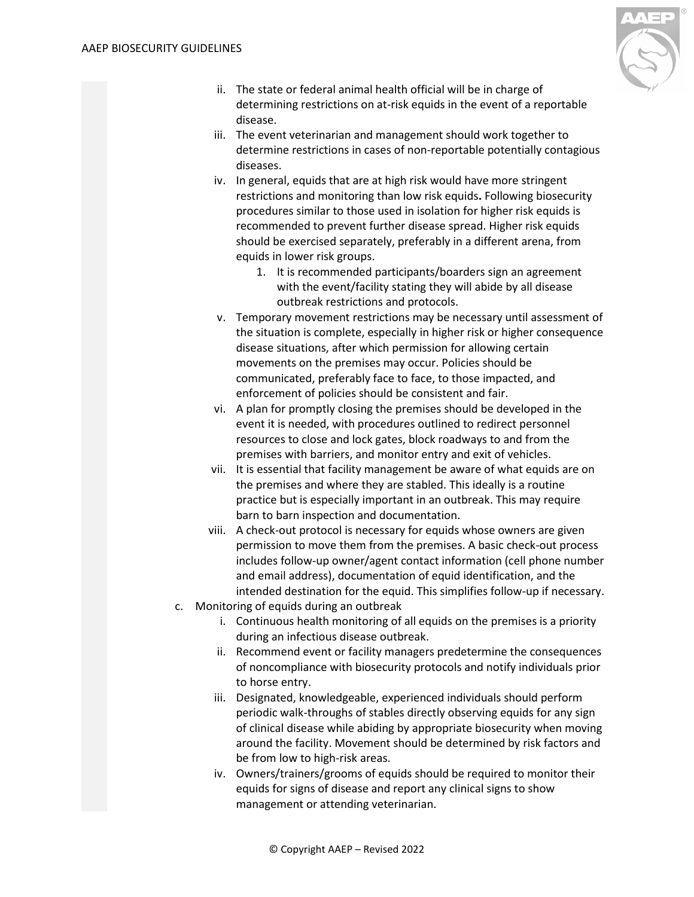

- ii. The state or federal animal health official will be in charge of determining restrictions on at-risk equids in the event of a reportable disease.
- iii. The event veterinarian and management should work together to determine restrictions in cases of non-reportable potentially contagious diseases.
- iv. In general, equids that are at high risk would have more stringent restrictions and monitoring than low risk equids**.** Following biosecurity procedures similar to those used in isolation for higher risk equids is recommended to prevent further disease spread. Higher risk equids should be exercised separately, preferably in a different arena, from equids in lower risk groups.
	- 1. It is recommended participants/boarders sign an agreement with the event/facility stating they will abide by all disease outbreak restrictions and protocols.
- v. Temporary movement restrictions may be necessary until assessment of the situation is complete, especially in higher risk or higher consequence disease situations, after which permission for allowing certain movements on the premises may occur. Policies should be communicated, preferably face to face, to those impacted, and enforcement of policies should be consistent and fair.
- vi. A plan for promptly closing the premises should be developed in the event it is needed, with procedures outlined to redirect personnel resources to close and lock gates, block roadways to and from the premises with barriers, and monitor entry and exit of vehicles.
- vii. It is essential that facility management be aware of what equids are on the premises and where they are stabled. This ideally is a routine practice but is especially important in an outbreak. This may require barn to barn inspection and documentation.
- viii. A check-out protocol is necessary for equids whose owners are given permission to move them from the premises. A basic check-out process includes follow-up owner/agent contact information (cell phone number and email address), documentation of equid identification, and the intended destination for the equid. This simplifies follow-up if necessary.
- c. Monitoring of equids during an outbreak
	- i. Continuous health monitoring of all equids on the premises is a priority during an infectious disease outbreak.
	- ii. Recommend event or facility managers predetermine the consequences of noncompliance with biosecurity protocols and notify individuals prior to horse entry.
	- iii. Designated, knowledgeable, experienced individuals should perform periodic walk-throughs of stables directly observing equids for any sign of clinical disease while abiding by appropriate biosecurity when moving around the facility. Movement should be determined by risk factors and be from low to high-risk areas.
	- iv. Owners/trainers/grooms of equids should be required to monitor their equids for signs of disease and report any clinical signs to show management or attending veterinarian.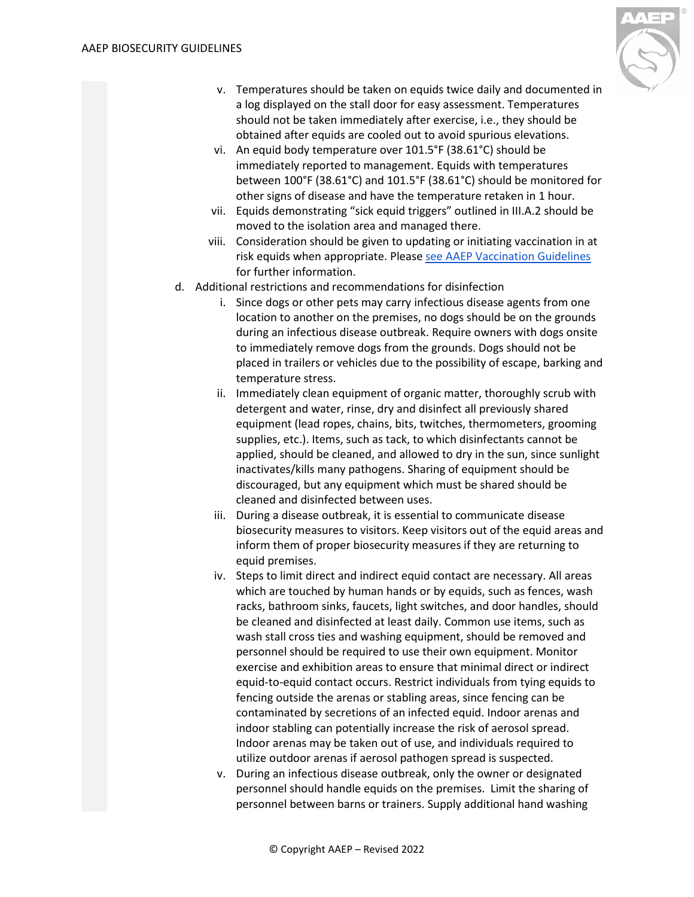

- v. Temperatures should be taken on equids twice daily and documented in a log displayed on the stall door for easy assessment. Temperatures should not be taken immediately after exercise, i.e., they should be obtained after equids are cooled out to avoid spurious elevations.
- vi. An equid body temperature over 101.5°F (38.61°C) should be immediately reported to management. Equids with temperatures between 100°F (38.61°C) and 101.5°F (38.61°C) should be monitored for other signs of disease and have the temperature retaken in 1 hour.
- vii. Equids demonstrating "sick equid triggers" outlined in III.A.2 should be moved to the isolation area and managed there.
- viii. Consideration should be given to updating or initiating vaccination in at risk equids when appropriate. Pleas[e see AAEP Vaccination Guidelines](https://aaep.org/guidelines/vaccination-guidelines) for further information.
- d. Additional restrictions and recommendations for disinfection
	- i. Since dogs or other pets may carry infectious disease agents from one location to another on the premises, no dogs should be on the grounds during an infectious disease outbreak. Require owners with dogs onsite to immediately remove dogs from the grounds. Dogs should not be placed in trailers or vehicles due to the possibility of escape, barking and temperature stress.
	- ii. Immediately clean equipment of organic matter, thoroughly scrub with detergent and water, rinse, dry and disinfect all previously shared equipment (lead ropes, chains, bits, twitches, thermometers, grooming supplies, etc.). Items, such as tack, to which disinfectants cannot be applied, should be cleaned, and allowed to dry in the sun, since sunlight inactivates/kills many pathogens. Sharing of equipment should be discouraged, but any equipment which must be shared should be cleaned and disinfected between uses.
	- iii. During a disease outbreak, it is essential to communicate disease biosecurity measures to visitors. Keep visitors out of the equid areas and inform them of proper biosecurity measures if they are returning to equid premises.
	- iv. Steps to limit direct and indirect equid contact are necessary. All areas which are touched by human hands or by equids, such as fences, wash racks, bathroom sinks, faucets, light switches, and door handles, should be cleaned and disinfected at least daily. Common use items, such as wash stall cross ties and washing equipment, should be removed and personnel should be required to use their own equipment. Monitor exercise and exhibition areas to ensure that minimal direct or indirect equid-to-equid contact occurs. Restrict individuals from tying equids to fencing outside the arenas or stabling areas, since fencing can be contaminated by secretions of an infected equid. Indoor arenas and indoor stabling can potentially increase the risk of aerosol spread. Indoor arenas may be taken out of use, and individuals required to utilize outdoor arenas if aerosol pathogen spread is suspected.
	- v. During an infectious disease outbreak, only the owner or designated personnel should handle equids on the premises. Limit the sharing of personnel between barns or trainers. Supply additional hand washing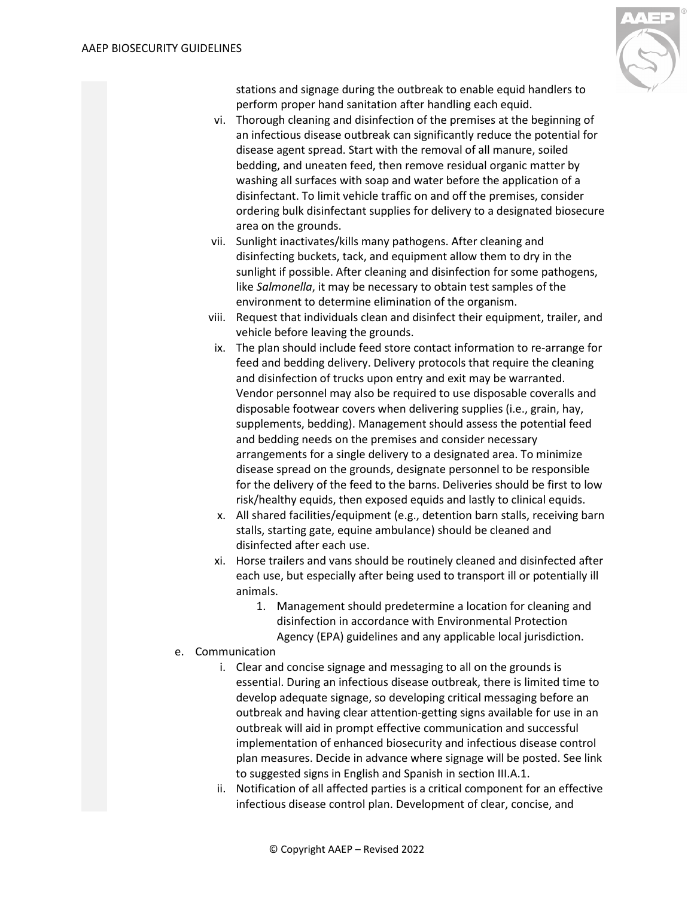

stations and signage during the outbreak to enable equid handlers to perform proper hand sanitation after handling each equid.

- vi. Thorough cleaning and disinfection of the premises at the beginning of an infectious disease outbreak can significantly reduce the potential for disease agent spread. Start with the removal of all manure, soiled bedding, and uneaten feed, then remove residual organic matter by washing all surfaces with soap and water before the application of a disinfectant. To limit vehicle traffic on and off the premises, consider ordering bulk disinfectant supplies for delivery to a designated biosecure area on the grounds.
- vii. Sunlight inactivates/kills many pathogens. After cleaning and disinfecting buckets, tack, and equipment allow them to dry in the sunlight if possible. After cleaning and disinfection for some pathogens, like *Salmonella*, it may be necessary to obtain test samples of the environment to determine elimination of the organism.
- viii. Request that individuals clean and disinfect their equipment, trailer, and vehicle before leaving the grounds.
- ix. The plan should include feed store contact information to re-arrange for feed and bedding delivery. Delivery protocols that require the cleaning and disinfection of trucks upon entry and exit may be warranted. Vendor personnel may also be required to use disposable coveralls and disposable footwear covers when delivering supplies (i.e., grain, hay, supplements, bedding). Management should assess the potential feed and bedding needs on the premises and consider necessary arrangements for a single delivery to a designated area. To minimize disease spread on the grounds, designate personnel to be responsible for the delivery of the feed to the barns. Deliveries should be first to low risk/healthy equids, then exposed equids and lastly to clinical equids.
- x. All shared facilities/equipment (e.g., detention barn stalls, receiving barn stalls, starting gate, equine ambulance) should be cleaned and disinfected after each use.
- xi. Horse trailers and vans should be routinely cleaned and disinfected after each use, but especially after being used to transport ill or potentially ill animals.
	- 1. Management should predetermine a location for cleaning and disinfection in accordance with Environmental Protection Agency (EPA) guidelines and any applicable local jurisdiction.
- e. Communication
	- i. Clear and concise signage and messaging to all on the grounds is essential. During an infectious disease outbreak, there is limited time to develop adequate signage, so developing critical messaging before an outbreak and having clear attention-getting signs available for use in an outbreak will aid in prompt effective communication and successful implementation of enhanced biosecurity and infectious disease control plan measures. Decide in advance where signage will be posted. See link to suggested signs in English and Spanish in section III.A.1.
	- ii. Notification of all affected parties is a critical component for an effective infectious disease control plan. Development of clear, concise, and